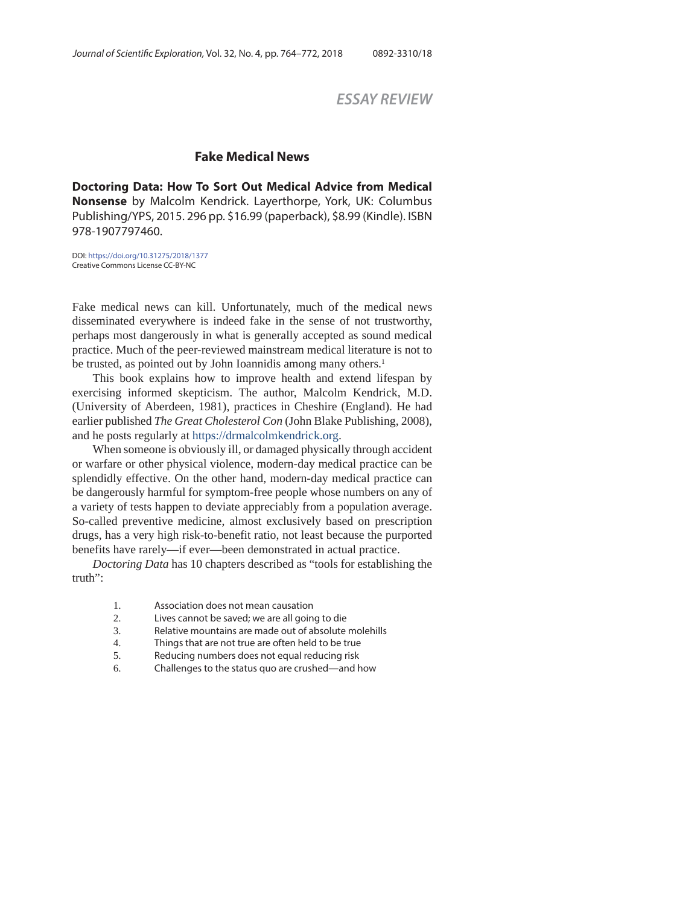# *ESSAY REVIEW*

## **Fake Medical News**

**Doctoring Data: How To Sort Out Medical Advice from Medical Nonsense** by Malcolm Kendrick. Layerthorpe, York, UK: Columbus Publishing/YPS, 2015. 296 pp. \$16.99 (paperback), \$8.99 (Kindle). ISBN 978-1907797460.

DOI: https://doi.org/10.31275/2018/1377 Creative Commons License CC-BY-NC

Fake medical news can kill. Unfortunately, much of the medical news disseminated everywhere is indeed fake in the sense of not trustworthy, perhaps most dangerously in what is generally accepted as sound medical practice. Much of the peer-reviewed mainstream medical literature is not to be trusted, as pointed out by John Ioannidis among many others.<sup>1</sup>

This book explains how to improve health and extend lifespan by exercising informed skepticism. The author, Malcolm Kendrick, M.D. (University of Aberdeen, 1981), practices in Cheshire (England). He had earlier published *The Great Cholesterol Con* (John Blake Publishing, 2008), and he posts regularly at https://drmalcolmkendrick.org.

When someone is obviously ill, or damaged physically through accident or warfare or other physical violence, modern-day medical practice can be splendidly effective. On the other hand, modern-day medical practice can be dangerously harmful for symptom-free people whose numbers on any of a variety of tests happen to deviate appreciably from a population average. So-called preventive medicine, almost exclusively based on prescription drugs, has a very high risk-to-benefit ratio, not least because the purported benefits have rarely—if ever—been demonstrated in actual practice.

*Doctoring Data* has 10 chapters described as "tools for establishing the truth":

- 1. Association does not mean causation
- 2. Lives cannot be saved; we are all going to die
- 3. Relative mountains are made out of absolute molehills
- 4. Things that are not true are often held to be true
- 5. Reducing numbers does not equal reducing risk
- 6. Challenges to the status quo are crushed—and how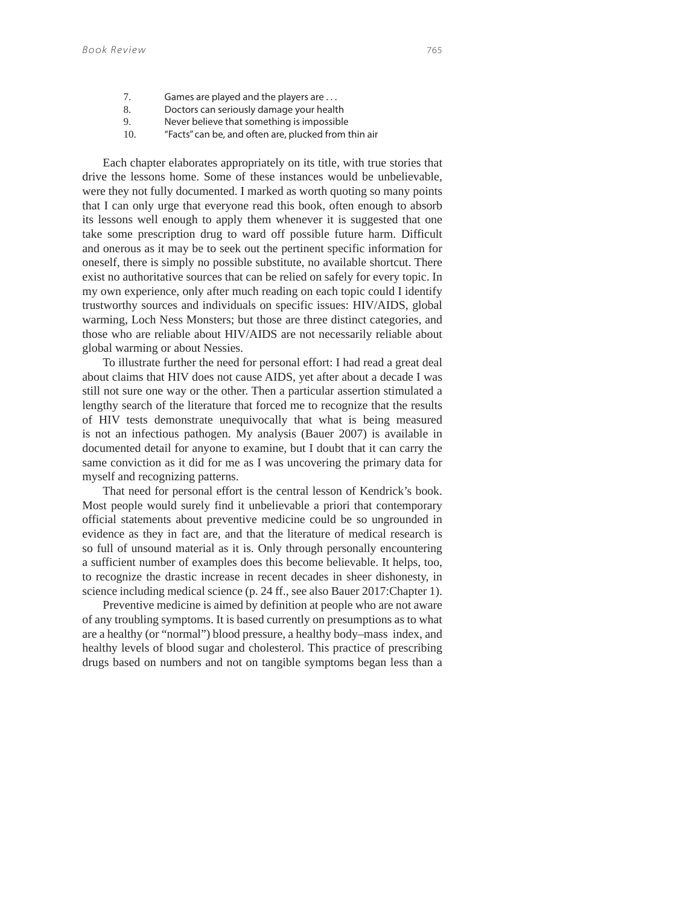- 7. Games are played and the players are . . .
- 8. Doctors can seriously damage your health
- 9. Never believe that something is impossible
- 10. "Facts" can be, and often are, plucked from thin air

Each chapter elaborates appropriately on its title, with true stories that drive the lessons home. Some of these instances would be unbelievable, were they not fully documented. I marked as worth quoting so many points that I can only urge that everyone read this book, often enough to absorb its lessons well enough to apply them whenever it is suggested that one take some prescription drug to ward off possible future harm. Difficult and onerous as it may be to seek out the pertinent specific information for oneself, there is simply no possible substitute, no available shortcut. There exist no authoritative sources that can be relied on safely for every topic. In my own experience, only after much reading on each topic could I identify trustworthy sources and individuals on specific issues: HIV/AIDS, global warming, Loch Ness Monsters; but those are three distinct categories, and those who are reliable about HIV/AIDS are not necessarily reliable about global warming or about Nessies.

To illustrate further the need for personal effort: I had read a great deal about claims that HIV does not cause AIDS, yet after about a decade I was still not sure one way or the other. Then a particular assertion stimulated a lengthy search of the literature that forced me to recognize that the results of HIV tests demonstrate unequivocally that what is being measured is not an infectious pathogen. My analysis (Bauer 2007) is available in documented detail for anyone to examine, but I doubt that it can carry the same conviction as it did for me as I was uncovering the primary data for myself and recognizing patterns.

That need for personal effort is the central lesson of Kendrick's book. Most people would surely find it unbelievable a priori that contemporary official statements about preventive medicine could be so ungrounded in evidence as they in fact are, and that the literature of medical research is so full of unsound material as it is. Only through personally encountering a sufficient number of examples does this become believable. It helps, too, to recognize the drastic increase in recent decades in sheer dishonesty, in science including medical science (p. 24 ff., see also Bauer 2017:Chapter 1).

Preventive medicine is aimed by definition at people who are not aware of any troubling symptoms. It is based currently on presumptions as to what are a healthy (or "normal") blood pressure, a healthy body–mass index, and healthy levels of blood sugar and cholesterol. This practice of prescribing drugs based on numbers and not on tangible symptoms began less than a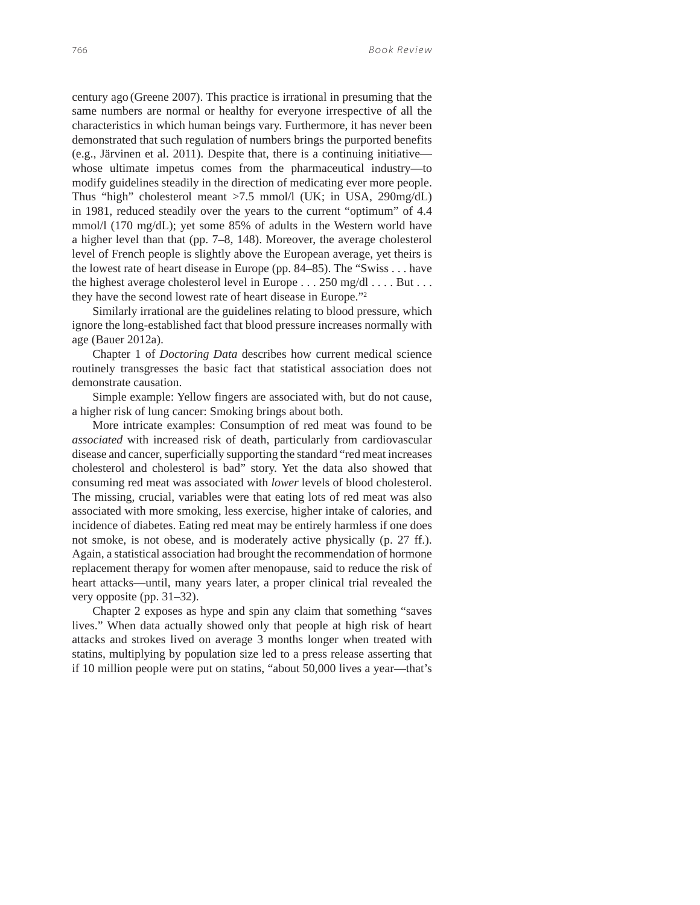century ago (Greene 2007). This practice is irrational in presuming that the same numbers are normal or healthy for everyone irrespective of all the characteristics in which human beings vary. Furthermore, it has never been demonstrated that such regulation of numbers brings the purported benefits (e.g., Järvinen et al. 2011). Despite that, there is a continuing initiative whose ultimate impetus comes from the pharmaceutical industry—to modify guidelines steadily in the direction of medicating ever more people. Thus "high" cholesterol meant >7.5 mmol/l (UK; in USA, 290mg/dL) in 1981, reduced steadily over the years to the current "optimum" of 4.4 mmol/l (170 mg/dL); yet some 85% of adults in the Western world have a higher level than that (pp. 7–8, 148). Moreover, the average cholesterol level of French people is slightly above the European average, yet theirs is the lowest rate of heart disease in Europe (pp. 84–85). The "Swiss . . . have the highest average cholesterol level in Europe . . . 250 mg/dl . . . . But . . . they have the second lowest rate of heart disease in Europe."2

Similarly irrational are the guidelines relating to blood pressure, which ignore the long-established fact that blood pressure increases normally with age (Bauer 2012a).

Chapter 1 of *Doctoring Data* describes how current medical science routinely transgresses the basic fact that statistical association does not demonstrate causation.

Simple example: Yellow fingers are associated with, but do not cause, a higher risk of lung cancer: Smoking brings about both.

More intricate examples: Consumption of red meat was found to be *associated* with increased risk of death, particularly from cardiovascular disease and cancer, superficially supporting the standard "red meat increases cholesterol and cholesterol is bad" story. Yet the data also showed that consuming red meat was associated with *lower* levels of blood cholesterol. The missing, crucial, variables were that eating lots of red meat was also associated with more smoking, less exercise, higher intake of calories, and incidence of diabetes. Eating red meat may be entirely harmless if one does not smoke, is not obese, and is moderately active physically (p. 27 ff.). Again, a statistical association had brought the recommendation of hormone replacement therapy for women after menopause, said to reduce the risk of heart attacks—until, many years later, a proper clinical trial revealed the very opposite (pp. 31–32).

Chapter 2 exposes as hype and spin any claim that something "saves lives." When data actually showed only that people at high risk of heart attacks and strokes lived on average 3 months longer when treated with statins, multiplying by population size led to a press release asserting that if 10 million people were put on statins, "about 50,000 lives a year—that's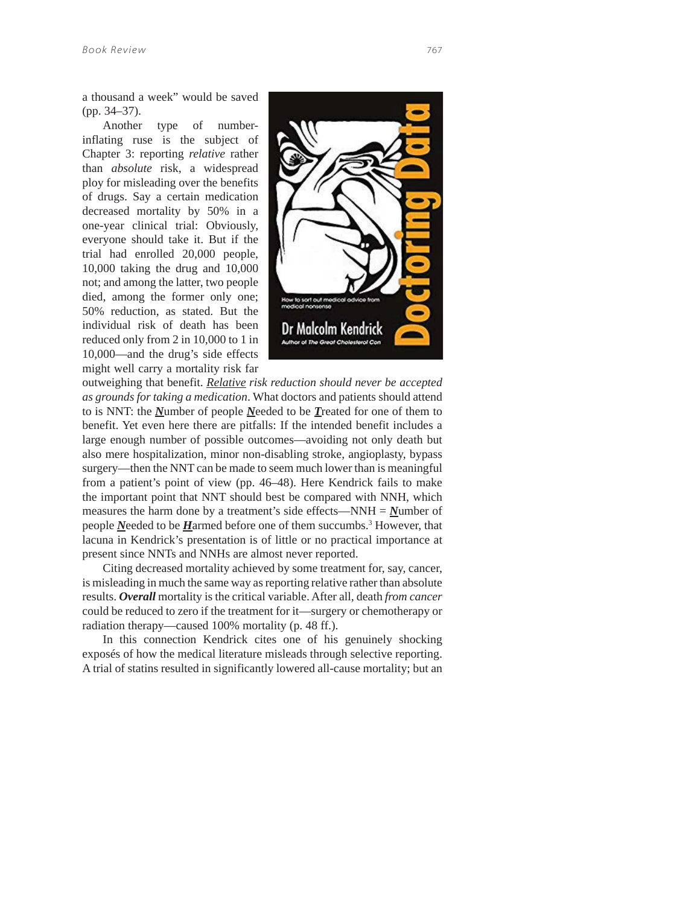Another type of numberinflating ruse is the subject of Chapter 3: reporting *relative* rather than *absolute* risk, a widespread ploy for misleading over the benefits of drugs. Say a certain medication decreased mortality by 50% in a one-year clinical trial: Obviously, everyone should take it. But if the trial had enrolled 20,000 people, 10,000 taking the drug and 10,000 not; and among the latter, two people died, among the former only one; 50% reduction, as stated. But the individual risk of death has been reduced only from 2 in 10,000 to 1 in 10,000—and the drug's side effects might well carry a mortality risk far



outweighing that benefit. *Relative risk reduction should never be accepted as grounds for taking a medication*. What doctors and patients should attend to is NNT: the *N*umber of people *N*eeded to be *T*reated for one of them to benefit. Yet even here there are pitfalls: If the intended benefit includes a large enough number of possible outcomes—avoiding not only death but also mere hospitalization, minor non-disabling stroke, angioplasty, bypass surgery—then the NNT can be made to seem much lower than is meaningful from a patient's point of view (pp. 46–48). Here Kendrick fails to make the important point that NNT should best be compared with NNH, which measures the harm done by a treatment's side effects—NNH = *N*umber of people *N*eeded to be *H*armed before one of them succumbs.<sup>3</sup> However, that lacuna in Kendrick's presentation is of little or no practical importance at present since NNTs and NNHs are almost never reported.

Citing decreased mortality achieved by some treatment for, say, cancer, is misleading in much the same way as reporting relative rather than absolute results. *Overall* mortality is the critical variable. After all, death *from cancer* could be reduced to zero if the treatment for it—surgery or chemotherapy or radiation therapy—caused 100% mortality (p. 48 ff.).

In this connection Kendrick cites one of his genuinely shocking exposés of how the medical literature misleads through selective reporting. A trial of statins resulted in significantly lowered all-cause mortality; but an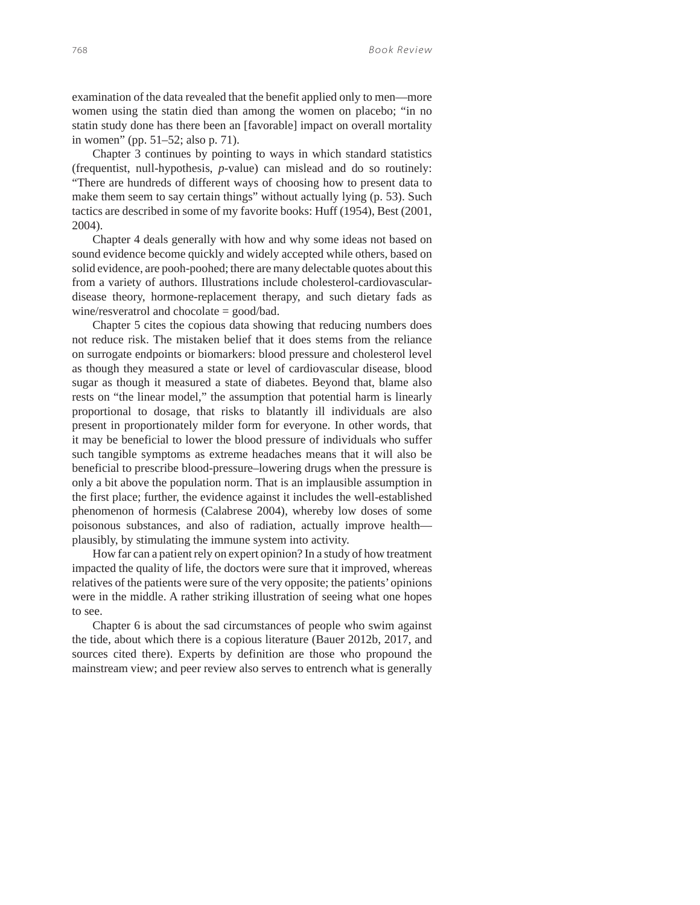examination of the data revealed that the benefit applied only to men—more women using the statin died than among the women on placebo; "in no statin study done has there been an [favorable] impact on overall mortality in women" (pp. 51–52; also p. 71).

Chapter 3 continues by pointing to ways in which standard statistics (frequentist, null-hypothesis, *p*-value) can mislead and do so routinely: "There are hundreds of different ways of choosing how to present data to make them seem to say certain things" without actually lying (p. 53). Such tactics are described in some of my favorite books: Huff (1954), Best (2001, 2004).

Chapter 4 deals generally with how and why some ideas not based on sound evidence become quickly and widely accepted while others, based on solid evidence, are pooh-poohed; there are many delectable quotes about this from a variety of authors. Illustrations include cholesterol-cardiovasculardisease theory, hormone-replacement therapy, and such dietary fads as wine/resveratrol and chocolate = good/bad.

Chapter 5 cites the copious data showing that reducing numbers does not reduce risk. The mistaken belief that it does stems from the reliance on surrogate endpoints or biomarkers: blood pressure and cholesterol level as though they measured a state or level of cardiovascular disease, blood sugar as though it measured a state of diabetes. Beyond that, blame also rests on "the linear model," the assumption that potential harm is linearly proportional to dosage, that risks to blatantly ill individuals are also present in proportionately milder form for everyone. In other words, that it may be beneficial to lower the blood pressure of individuals who suffer such tangible symptoms as extreme headaches means that it will also be beneficial to prescribe blood-pressure–lowering drugs when the pressure is only a bit above the population norm. That is an implausible assumption in the first place; further, the evidence against it includes the well-established phenomenon of hormesis (Calabrese 2004), whereby low doses of some poisonous substances, and also of radiation, actually improve health plausibly, by stimulating the immune system into activity.

How far can a patient rely on expert opinion? In a study of how treatment impacted the quality of life, the doctors were sure that it improved, whereas relatives of the patients were sure of the very opposite; the patients' opinions were in the middle. A rather striking illustration of seeing what one hopes to see.

Chapter 6 is about the sad circumstances of people who swim against the tide, about which there is a copious literature (Bauer 2012b, 2017, and sources cited there). Experts by definition are those who propound the mainstream view; and peer review also serves to entrench what is generally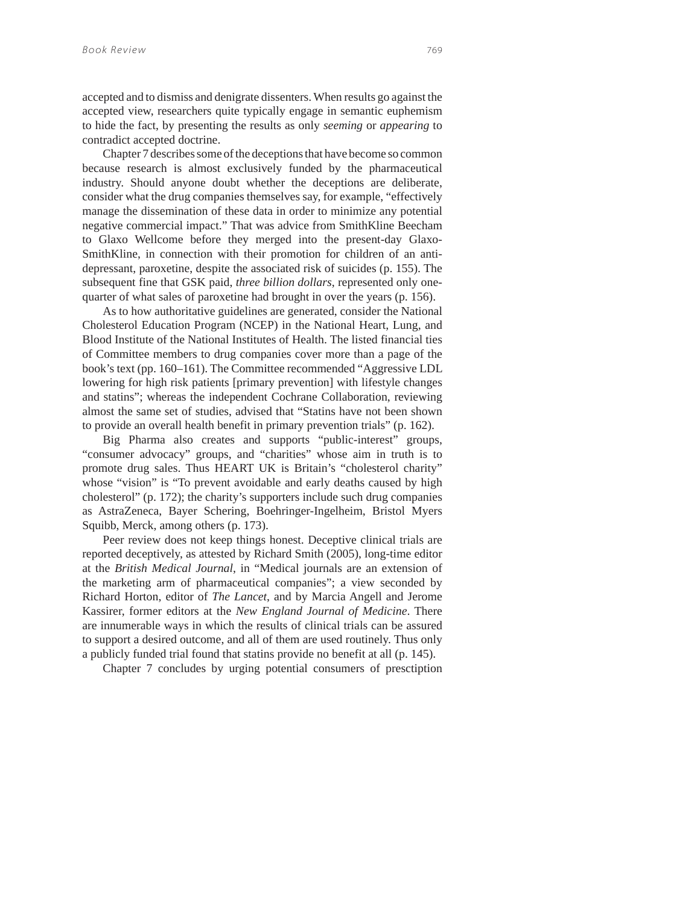accepted and to dismiss and denigrate dissenters. When results go against the accepted view, researchers quite typically engage in semantic euphemism to hide the fact, by presenting the results as only *seeming* or *appearing* to contradict accepted doctrine.

Chapter 7 describes some of the deceptions that have become so common because research is almost exclusively funded by the pharmaceutical industry. Should anyone doubt whether the deceptions are deliberate, consider what the drug companies themselves say, for example, "effectively manage the dissemination of these data in order to minimize any potential negative commercial impact." That was advice from SmithKline Beecham to Glaxo Wellcome before they merged into the present-day Glaxo-SmithKline, in connection with their promotion for children of an antidepressant, paroxetine, despite the associated risk of suicides (p. 155). The subsequent fine that GSK paid, *three billion dollars*, represented only onequarter of what sales of paroxetine had brought in over the years (p. 156).

As to how authoritative guidelines are generated, consider the National Cholesterol Education Program (NCEP) in the National Heart, Lung, and Blood Institute of the National Institutes of Health. The listed financial ties of Committee members to drug companies cover more than a page of the book's text (pp. 160–161). The Committee recommended "Aggressive LDL lowering for high risk patients [primary prevention] with lifestyle changes and statins"; whereas the independent Cochrane Collaboration, reviewing almost the same set of studies, advised that "Statins have not been shown to provide an overall health benefit in primary prevention trials" (p. 162).

Big Pharma also creates and supports "public-interest" groups, "consumer advocacy" groups, and "charities" whose aim in truth is to promote drug sales. Thus HEART UK is Britain's "cholesterol charity" whose "vision" is "To prevent avoidable and early deaths caused by high cholesterol" (p. 172); the charity's supporters include such drug companies as AstraZeneca, Bayer Schering, Boehringer-Ingelheim, Bristol Myers Squibb, Merck, among others (p. 173).

Peer review does not keep things honest. Deceptive clinical trials are reported deceptively, as attested by Richard Smith (2005), long-time editor at the *British Medical Journal*, in "Medical journals are an extension of the marketing arm of pharmaceutical companies"; a view seconded by Richard Horton, editor of *The Lancet*, and by Marcia Angell and Jerome Kassirer, former editors at the *New England Journal of Medicine*. There are innumerable ways in which the results of clinical trials can be assured to support a desired outcome, and all of them are used routinely. Thus only a publicly funded trial found that statins provide no benefit at all (p. 145).

Chapter 7 concludes by urging potential consumers of presctiption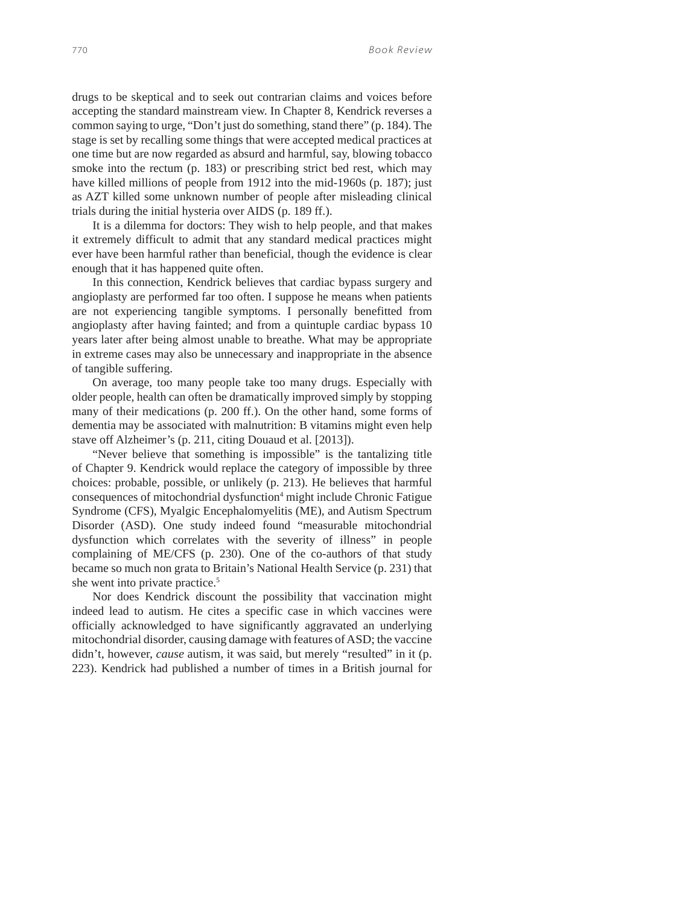drugs to be skeptical and to seek out contrarian claims and voices before accepting the standard mainstream view. In Chapter 8, Kendrick reverses a common saying to urge, "Don't just do something, stand there" (p. 184). The stage is set by recalling some things that were accepted medical practices at one time but are now regarded as absurd and harmful, say, blowing tobacco smoke into the rectum (p. 183) or prescribing strict bed rest, which may have killed millions of people from 1912 into the mid-1960s (p. 187); just as AZT killed some unknown number of people after misleading clinical trials during the initial hysteria over AIDS (p. 189 ff.).

It is a dilemma for doctors: They wish to help people, and that makes it extremely difficult to admit that any standard medical practices might ever have been harmful rather than beneficial, though the evidence is clear enough that it has happened quite often.

In this connection, Kendrick believes that cardiac bypass surgery and angioplasty are performed far too often. I suppose he means when patients are not experiencing tangible symptoms. I personally benefitted from angioplasty after having fainted; and from a quintuple cardiac bypass 10 years later after being almost unable to breathe. What may be appropriate in extreme cases may also be unnecessary and inappropriate in the absence of tangible suffering.

On average, too many people take too many drugs. Especially with older people, health can often be dramatically improved simply by stopping many of their medications (p. 200 ff.). On the other hand, some forms of dementia may be associated with malnutrition: B vitamins might even help stave off Alzheimer's (p. 211, citing Douaud et al. [2013]).

"Never believe that something is impossible" is the tantalizing title of Chapter 9. Kendrick would replace the category of impossible by three choices: probable, possible, or unlikely (p. 213). He believes that harmful consequences of mitochondrial dysfunction<sup>4</sup> might include Chronic Fatigue Syndrome (CFS), Myalgic Encephalomyelitis (ME), and Autism Spectrum Disorder (ASD). One study indeed found "measurable mitochondrial dysfunction which correlates with the severity of illness" in people complaining of ME/CFS (p. 230). One of the co-authors of that study became so much non grata to Britain's National Health Service (p. 231) that she went into private practice.<sup>5</sup>

Nor does Kendrick discount the possibility that vaccination might indeed lead to autism. He cites a specific case in which vaccines were officially acknowledged to have significantly aggravated an underlying mitochondrial disorder, causing damage with features of ASD; the vaccine didn't, however, *cause* autism, it was said, but merely "resulted" in it (p. 223). Kendrick had published a number of times in a British journal for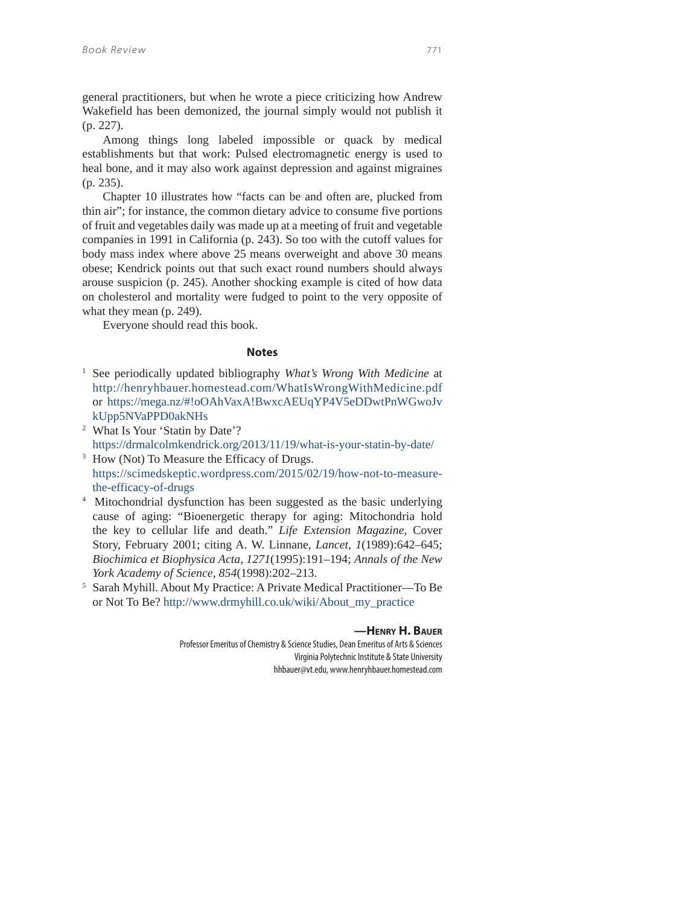general practitioners, but when he wrote a piece criticizing how Andrew Wakefield has been demonized, the journal simply would not publish it (p. 227).

Among things long labeled impossible or quack by medical establishments but that work: Pulsed electromagnetic energy is used to heal bone, and it may also work against depression and against migraines (p. 235).

Chapter 10 illustrates how "facts can be and often are, plucked from thin air"; for instance, the common dietary advice to consume five portions of fruit and vegetables daily was made up at a meeting of fruit and vegetable companies in 1991 in California (p. 243). So too with the cutoff values for body mass index where above 25 means overweight and above 30 means obese; Kendrick points out that such exact round numbers should always arouse suspicion (p. 245). Another shocking example is cited of how data on cholesterol and mortality were fudged to point to the very opposite of what they mean (p. 249).

Everyone should read this book.

#### **Notes**

- 1 See periodically updated bibliography *What's Wrong With Medicine* at http://henryhbauer.homestead.com/WhatIsWrongWithMedicine.pdf or https://mega.nz/#!oOAhVaxA!BwxcAEUqYP4V5eDDwtPnWGwoJv kUpp5NVaPPD0akNHs
- 2 What Is Your 'Statin by Date'? https://drmalcolmkendrick.org/2013/11/19/what-is-your-statin-by-date/
- <sup>3</sup> How (Not) To Measure the Efficacy of Drugs. https://scimedskeptic.wordpress.com/2015/02/19/how-not-to-measurethe-efficacy-of-drugs
- <sup>4</sup> Mitochondrial dysfunction has been suggested as the basic underlying cause of aging: "Bioenergetic therapy for aging: Mitochondria hold the key to cellular life and death." *Life Extension Magazine*, Cover Story, February 2001; citing A. W. Linnane, *Lancet, 1*(1989):642–645; *Biochimica et Biophysica Acta, 1271*(1995):191–194; *Annals of the New York Academy of Science, 854*(1998):202–213. 5 Sarah Myhill. About My Practice: A Private Medical Practitioner—To Be
- or Not To Be? http://www.drmyhill.co.uk/wiki/About\_my\_practice

### **—HENRY H. BAUER**

Professor Emeritus of Chemistry & Science Studies, Dean Emeritus of Arts & Sciences Virginia Polytechnic Institute & State University hhbauer@vt.edu, www.henryhbauer.homestead.com